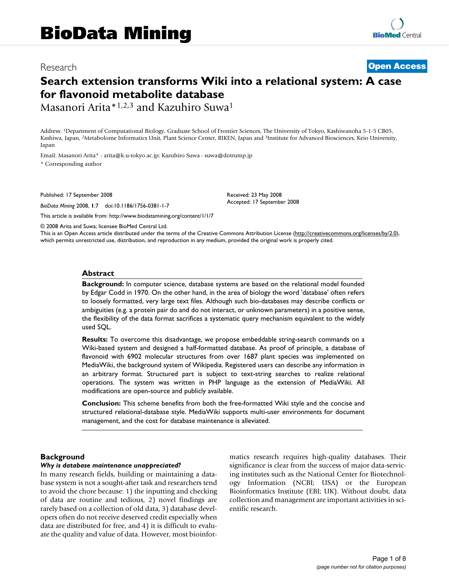# Research **[Open Access](http://www.biomedcentral.com/info/about/charter/)**

# **Search extension transforms Wiki into a relational system: A case for flavonoid metabolite database**

Masanori Arita\*1,2,3 and Kazuhiro Suwa1

Address: 1Department of Computational Biology, Graduate School of Frontier Sciences, The University of Tokyo, Kashiwanoha 5-1-5 CB05, Kashiwa, Japan, 2Metabolome Informatics Unit, Plant Science Center, RIKEN, Japan and 3Institute for Advanced Biosciences, Keio University, Japan

Email: Masanori Arita\* - arita@k.u-tokyo.ac.jp; Kazuhiro Suwa - suwa@dotrump.jp \* Corresponding author

Published: 17 September 2008

*BioData Mining* 2008, **1**:7 doi:10.1186/1756-0381-1-7

[This article is available from: http://www.biodatamining.org/content/1/1/7](http://www.biodatamining.org/content/1/1/7)

© 2008 Arita and Suwa; licensee BioMed Central Ltd.

This is an Open Access article distributed under the terms of the Creative Commons Attribution License [\(http://creativecommons.org/licenses/by/2.0\)](http://creativecommons.org/licenses/by/2.0), which permits unrestricted use, distribution, and reproduction in any medium, provided the original work is properly cited.

Received: 23 May 2008 Accepted: 17 September 2008

#### **Abstract**

**Background:** In computer science, database systems are based on the relational model founded by Edgar Codd in 1970. On the other hand, in the area of biology the word 'database' often refers to loosely formatted, very large text files. Although such bio-databases may describe conflicts or ambiguities (e.g. a protein pair do and do not interact, or unknown parameters) in a positive sense, the flexibility of the data format sacrifices a systematic query mechanism equivalent to the widely used SQL.

**Results:** To overcome this disadvantage, we propose embeddable string-search commands on a Wiki-based system and designed a half-formatted database. As proof of principle, a database of flavonoid with 6902 molecular structures from over 1687 plant species was implemented on MediaWiki, the background system of Wikipedia. Registered users can describe any information in an arbitrary format. Structured part is subject to text-string searches to realize relational operations. The system was written in PHP language as the extension of MediaWiki. All modifications are open-source and publicly available.

**Conclusion:** This scheme benefits from both the free-formatted Wiki style and the concise and structured relational-database style. MediaWiki supports multi-user environments for document management, and the cost for database maintenance is alleviated.

# **Background**

#### *Why is database maintenance unappreciated?*

In many research fields, building or maintaining a database system is not a sought-after task and researchers tend to avoid the chore because: 1) the inputting and checking of data are routine and tedious, 2) novel findings are rarely based on a collection of old data, 3) database developers often do not receive deserved credit especially when data are distributed for free, and 4) it is difficult to evaluate the quality and value of data. However, most bioinformatics research requires high-quality databases. Their significance is clear from the success of major data-servicing institutes such as the National Center for Biotechnology Information (NCBI; USA) or the European Bioinformatics Institute (EBI; UK). Without doubt, data collection and management are important activities in scientific research.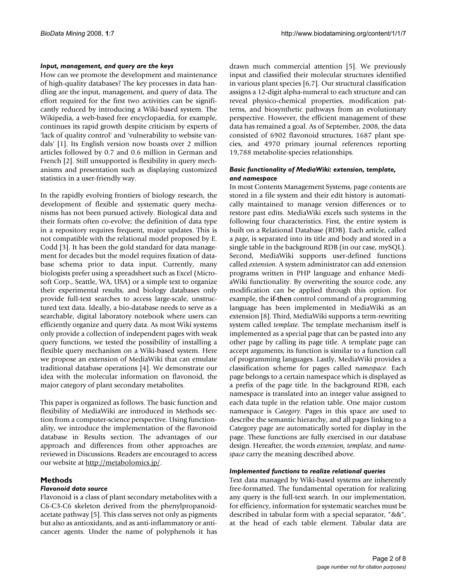## *Input, management, and query are the keys*

How can we promote the development and maintenance of high-quality databases? The key processes in data handling are the input, management, and query of data. The effort required for the first two activities can be significantly reduced by introducing a Wiki-based system. The Wikipedia, a web-based free encyclopaedia, for example, continues its rapid growth despite criticism by experts of 'lack of quality control' and 'vulnerability to website vandals' [1]. Its English version now boasts over 2 million articles followed by 0.7 and 0.6 million in German and French [2]. Still unsupported is flexibility in query mechanisms and presentation such as displaying customized statistics in a user-friendly way.

In the rapidly evolving frontiers of biology research, the development of flexible and systematic query mechanisms has not been pursued actively. Biological data and their formats often co-evolve; the definition of data type in a repository requires frequent, major updates. This is not compatible with the relational model proposed by E. Codd [3]. It has been the gold standard for data management for decades but the model requires fixation of database schema prior to data input. Currently, many biologists prefer using a spreadsheet such as Excel (Microsoft Corp., Seattle, WA, USA) or a simple text to organize their experimental results, and biology databases only provide full-text searches to access large-scale, unstructured text data. Ideally, a bio-database needs to serve as a searchable, digital laboratory notebook where users can efficiently organize and query data. As most Wiki systems only provide a collection of independent pages with weak query functions, we tested the possibility of installing a flexible query mechanism on a Wiki-based system. Here we propose an extension of MediaWiki that can emulate traditional database operations [4]. We demonstrate our idea with the molecular information on flavonoid, the major category of plant secondary metabolites.

This paper is organized as follows. The basic function and flexibility of MediaWiki are introduced in Methods section from a computer-science perspective. Using functionality, we introduce the implementation of the flavonoid database in Results section. The advantages of our approach and differences from other approaches are reviewed in Discussions. Readers are encouraged to access our website at <http://metabolomics.jp/>.

# **Methods**

# *Flavonoid data source*

Flavonoid is a class of plant secondary metabolites with a C6-C3-C6 skeleton derived from the phenylpropanoidacetate pathway [5]. This class serves not only as pigments but also as antioxidants, and as anti-inflammatory or anticancer agents. Under the name of polyphenols it has drawn much commercial attention [5]. We previously input and classified their molecular structures identified in various plant species [6,7]. Our structural classification assigns a 12-digit alpha-numeral to each structure and can reveal physico-chemical properties, modification patterns, and biosynthetic pathways from an evolutionary perspective. However, the efficient management of these data has remained a goal. As of September, 2008, the data consisted of 6902 flavonoid structures, 1687 plant species, and 4970 primary journal references reporting 19,788 metabolite-species relationships.

# *Basic functionality of MediaWiki: extension, template, and namespace*

In most Contents Management Systems, page contents are stored in a file system and their edit history is automatically maintained to manage version differences or to restore past edits. MediaWiki excels such systems in the following four characteristics. First, the entire system is built on a Relational Database (RDB). Each article, called a *page*, is separated into its title and body and stored in a single table in the background RDB (in our case, mySQL). Second, MediaWiki supports user-defined functions called *extension*. A system administrator can add extension programs written in PHP language and enhance MediaWiki functionality. By overwriting the source code, any modification can be applied through this option. For example, the **if-then** control command of a programming language has been implemented in MediaWiki as an extension [8]. Third, MediaWiki supports a term-rewriting system called *template*. The template mechanism itself is implemented as a special page that can be pasted into any other page by calling its page title. A template page can accept arguments; its function is similar to a function call of programming languages. Lastly, MediaWiki provides a classification scheme for pages called *namespace*. Each page belongs to a certain namespace which is displayed as a prefix of the page title. In the background RDB, each namespace is translated into an integer value assigned to each data tuple in the relation table. One major custom namespace is *Category*. Pages in this space are used to describe the semantic hierarchy, and all pages linking to a Category page are automatically sorted for display in the page. These functions are fully exercised in our database design. Hereafter, the words *extension, template*, and *namespace* carry the meaning described above.

# *Implemented functions to realize relational queries*

Text data managed by Wiki-based systems are inherently free-formatted. The fundamental operation for realizing any query is the full-text search. In our implementation, for efficiency, information for systematic searches must be described in tabular form with a special separator, "&&", at the head of each table element. Tabular data are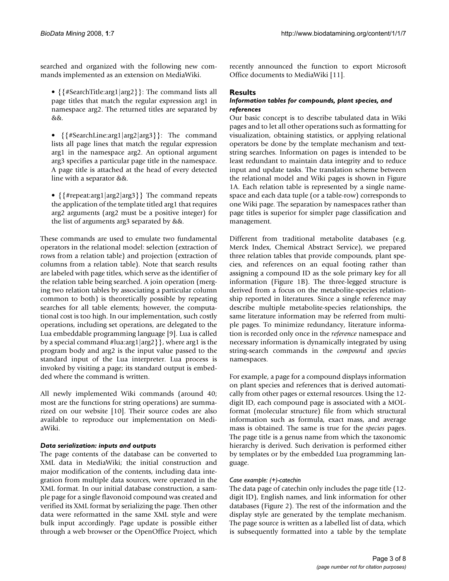searched and organized with the following new commands implemented as an extension on MediaWiki.

• {{#SearchTitle:arg1|arg2}}: The command lists all page titles that match the regular expression arg1 in namespace arg2. The returned titles are separated by &&.

• {{#SearchLine:arg1|arg2|arg3}}: The command lists all page lines that match the regular expression arg1 in the namespace arg2. An optional argument arg3 specifies a particular page title in the namespace. A page title is attached at the head of every detected line with a separator &&.

• {{#repeat:arg1|arg2|arg3}} The command repeats the application of the template titled arg1 that requires arg2 arguments (arg2 must be a positive integer) for the list of arguments arg3 separated by &&.

These commands are used to emulate two fundamental operators in the relational model: selection (extraction of rows from a relation table) and projection (extraction of columns from a relation table). Note that search results are labeled with page titles, which serve as the identifier of the relation table being searched. A join operation (merging two relation tables by associating a particular column common to both) is theoretically possible by repeating searches for all table elements; however, the computational cost is too high. In our implementation, such costly operations, including set operations, are delegated to the Lua embeddable programming language [9]. Lua is called by a special command #lua:arg1|arg2}}, where arg1 is the program body and arg2 is the input value passed to the standard input of the Lua interpreter. Lua process is invoked by visiting a page; its standard output is embedded where the command is written.

All newly implemented Wiki commands (around 40; most are the functions for string operations) are summarized on our website [10]. Their source codes are also available to reproduce our implementation on MediaWiki.

# *Data serialization: inputs and outputs*

The page contents of the database can be converted to XML data in MediaWiki; the initial construction and major modification of the contents, including data integration from multiple data sources, were operated in the XML format. In our initial database construction, a sample page for a single flavonoid compound was created and verified its XML format by serializing the page. Then other data were reformatted in the same XML style and were bulk input accordingly. Page update is possible either through a web browser or the OpenOffice Project, which recently announced the function to export Microsoft Office documents to MediaWiki [11].

# **Results**

# *Information tables for compounds, plant species, and references*

Our basic concept is to describe tabulated data in Wiki pages and to let all other operations such as formatting for visualization, obtaining statistics, or applying relational operators be done by the template mechanism and textstring searches. Information on pages is intended to be least redundant to maintain data integrity and to reduce input and update tasks. The translation scheme between the relational model and Wiki pages is shown in Figure 1A. Each relation table is represented by a single namespace and each data tuple (or a table-row) corresponds to one Wiki page. The separation by namespaces rather than page titles is superior for simpler page classification and management.

Different from traditional metabolite databases (e.g. Merck Index, Chemical Abstract Service), we prepared three relation tables that provide compounds, plant species, and references on an equal footing rather than assigning a compound ID as the sole primary key for all information (Figure 1B). The three-legged structure is derived from a focus on the metabolite-species relationship reported in literatures. Since a single reference may describe multiple metabolite-species relationships, the same literature information may be referred from multiple pages. To minimize redundancy, literature information is recorded only once in the *reference* namespace and necessary information is dynamically integrated by using string-search commands in the *compound* and *species* namespaces.

For example, a page for a compound displays information on plant species and references that is derived automatically from other pages or external resources. Using the 12 digit ID, each compound page is associated with a MOLformat (molecular structure) file from which structural information such as formula, exact mass, and average mass is obtained. The same is true for the *species* pages. The page title is a genus name from which the taxonomic hierarchy is derived. Such derivation is performed either by templates or by the embedded Lua programming language.

# *Case example: (+)-catechin*

The data page of catechin only includes the page title (12 digit ID), English names, and link information for other databases (Figure 2). The rest of the information and the display style are generated by the template mechanism. The page source is written as a labelled list of data, which is subsequently formatted into a table by the template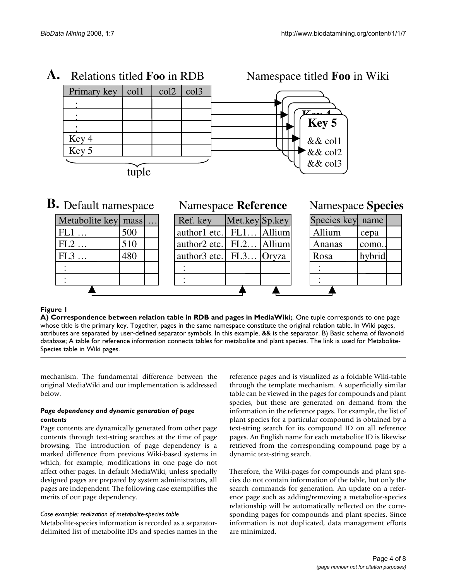

# **B.** Default namespace

| Metabolite key | mass |  |  |  |
|----------------|------|--|--|--|
| FL1            | 500  |  |  |  |
| FL2            | 510  |  |  |  |
| FL3            | 480  |  |  |  |
|                |      |  |  |  |
|                |      |  |  |  |
|                |      |  |  |  |

# **Namespace Reference**

| Ref. key     | Met.key Sp.key    |        |
|--------------|-------------------|--------|
| author1 etc. | FL <sub>1</sub> . | Allium |
| author2 etc. | FL2               | Allium |
| author3 etc. | FL3               | Oryza  |
|              |                   |        |
|              |                   |        |
|              |                   |        |

# Namespace **Species**

| Species key | name    |  |
|-------------|---------|--|
| Allium      | cepa    |  |
| Ananas      | como.   |  |
| Rosa        | hybrid. |  |
|             |         |  |
|             |         |  |
|             |         |  |

# Figure 1

**A) Correspondence between relation table in RDB and pages in MediaWiki;**. One tuple corresponds to one page whose title is the primary key. Together, pages in the same namespace constitute the original relation table. In Wiki pages, attributes are separated by user-defined separator symbols. In this example, && is the separator. B) Basic schema of flavonoid database; A table for reference information connects tables for metabolite and plant species. The link is used for Metabolite-Species table in Wiki pages.

mechanism. The fundamental difference between the original MediaWiki and our implementation is addressed below.

# *Page dependency and dynamic generation of page contents*

Page contents are dynamically generated from other page contents through text-string searches at the time of page browsing. The introduction of page dependency is a marked difference from previous Wiki-based systems in which, for example, modifications in one page do not affect other pages. In default MediaWiki, unless specially designed pages are prepared by system administrators, all pages are independent. The following case exemplifies the merits of our page dependency.

# *Case example: realization of metabolite-species table*

Metabolite-species information is recorded as a separatordelimited list of metabolite IDs and species names in the reference pages and is visualized as a foldable Wiki-table through the template mechanism. A superficially similar table can be viewed in the pages for compounds and plant species, but these are generated on demand from the information in the reference pages. For example, the list of plant species for a particular compound is obtained by a text-string search for its compound ID on all reference pages. An English name for each metabolite ID is likewise retrieved from the corresponding compound page by a dynamic text-string search.

Therefore, the Wiki-pages for compounds and plant species do not contain information of the table, but only the search commands for generation. An update on a reference page such as adding/removing a metabolite-species relationship will be automatically reflected on the corresponding pages for compounds and plant species. Since information is not duplicated, data management efforts are minimized.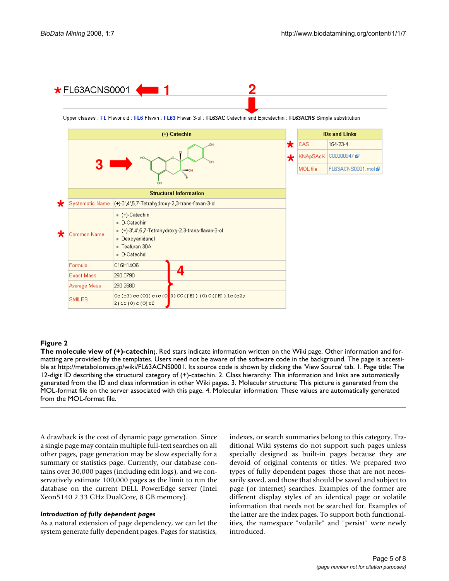

# Figure 2

**The molecule view of (+)-catechin;**. Red stars indicate information written on the Wiki page. Other information and formatting are provided by the templates. Users need not be aware of the software code in the background. The page is accessible at<http://metabolomics.jp/wiki/FL63ACNS0001>. Its source code is shown by clicking the 'View Source' tab. 1. Page title: The 12-digit ID describing the structural category of (+)-catechin. 2. Class hierarchy: This information and links are automatically generated from the ID and class information in other Wiki pages. 3. Molecular structure: This picture is generated from the MOL-format file on the server associated with this page. 4. Molecular information: These values are automatically generated from the MOL-format file.

A drawback is the cost of dynamic page generation. Since a single page may contain multiple full-text searches on all other pages, page generation may be slow especially for a summary or statistics page. Currently, our database contains over 30,000 pages (including edit logs), and we conservatively estimate 100,000 pages as the limit to run the database on the current DELL PowerEdge server (Intel Xeon5140 2.33 GHz DualCore, 8 GB memory).

# *Introduction of fully dependent pages*

As a natural extension of page dependency, we can let the system generate fully dependent pages. Pages for statistics,

indexes, or search summaries belong to this category. Traditional Wiki systems do not support such pages unless specially designed as built-in pages because they are devoid of original contents or titles. We prepared two types of fully dependent pages: those that are not necessarily saved, and those that should be saved and subject to page (or internet) searches. Examples of the former are different display styles of an identical page or volatile information that needs not be searched for. Examples of the latter are the index pages. To support both functionalities, the namespace "volatile" and "persist" were newly introduced.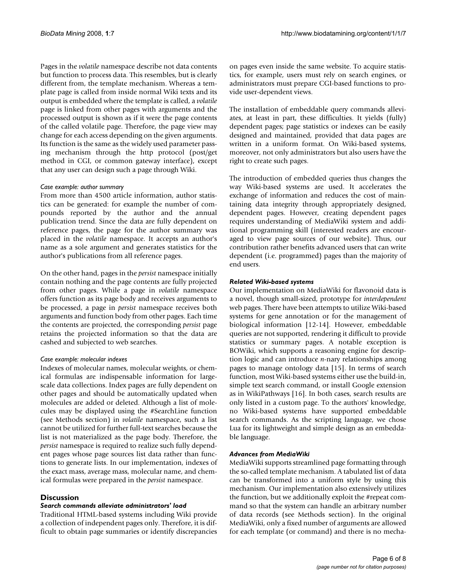Pages in the *volatile* namespace describe not data contents but function to process data. This resembles, but is clearly different from, the template mechanism. Whereas a template page is called from inside normal Wiki texts and its output is embedded where the template is called, a *volatile* page is linked from other pages with arguments and the processed output is shown as if it were the page contents of the called volatile page. Therefore, the page view may change for each access depending on the given arguments. Its function is the same as the widely used parameter passing mechanism through the http protocol (post/get method in CGI, or common gateway interface), except that any user can design such a page through Wiki.

# *Case example: author summary*

From more than 4500 article information, author statistics can be generated: for example the number of compounds reported by the author and the annual publication trend. Since the data are fully dependent on reference pages, the page for the author summary was placed in the *volatile* namespace. It accepts an author's name as a sole argument and generates statistics for the author's publications from all reference pages.

On the other hand, pages in the *persist* namespace initially contain nothing and the page contents are fully projected from other pages. While a page in *volatile* namespace offers function as its page body and receives arguments to be processed, a page in *persist* namespace receives both arguments and function body from other pages. Each time the contents are projected, the corresponding *persist* page retains the projected information so that the data are cashed and subjected to web searches.

# *Case example: molecular indexes*

Indexes of molecular names, molecular weights, or chemical formulas are indispensable information for largescale data collections. Index pages are fully dependent on other pages and should be automatically updated when molecules are added or deleted. Although a list of molecules may be displayed using the #SearchLine function (see Methods section) in *volatile* namespace, such a list cannot be utilized for further full-text searches because the list is not materialized as the page body. Therefore, the *persist* namespace is required to realize such fully dependent pages whose page sources list data rather than functions to generate lists. In our implementation, indexes of the exact mass, average mass, molecular name, and chemical formulas were prepared in the *persist* namespace.

# **Discussion**

# *Search commands alleviate administrators' load*

Traditional HTML-based systems including Wiki provide a collection of independent pages only. Therefore, it is difficult to obtain page summaries or identify discrepancies on pages even inside the same website. To acquire statistics, for example, users must rely on search engines, or administrators must prepare CGI-based functions to provide user-dependent views.

The installation of embeddable query commands alleviates, at least in part, these difficulties. It yields (fully) dependent pages; page statistics or indexes can be easily designed and maintained, provided that data pages are written in a uniform format. On Wiki-based systems, moreover, not only administrators but also users have the right to create such pages.

The introduction of embedded queries thus changes the way Wiki-based systems are used. It accelerates the exchange of information and reduces the cost of maintaining data integrity through appropriately designed, dependent pages. However, creating dependent pages requires understanding of MediaWiki system and additional programming skill (interested readers are encouraged to view page sources of our website). Thus, our contribution rather benefits advanced users that can write dependent (i.e. programmed) pages than the majority of end users.

# *Related Wiki-based systems*

Our implementation on MediaWiki for flavonoid data is a novel, though small-sized, prototype for *interdependent* web pages. There have been attempts to utilize Wiki-based systems for gene annotation or for the management of biological information [12-14]. However, embeddable queries are not supported, rendering it difficult to provide statistics or summary pages. A notable exception is BOWiki, which supports a reasoning engine for description logic and can introduce *n*-nary relationships among pages to manage ontology data [15]. In terms of search function, most Wiki-based systems either use the build-in, simple text search command, or install Google extension as in WikiPathways [16]. In both cases, search results are only listed in a custom page. To the authors' knowledge, no Wiki-based systems have supported embeddable search commands. As the scripting language, we chose Lua for its lightweight and simple design as an embeddable language.

# *Advances from MediaWiki*

MediaWiki supports streamlined page formatting through the so-called template mechanism. A tabulated list of data can be transformed into a uniform style by using this mechanism. Our implementation also extensively utilizes the function, but we additionally exploit the #repeat command so that the system can handle an arbitrary number of data records (see Methods section). In the original MediaWiki, only a fixed number of arguments are allowed for each template (or command) and there is no mecha-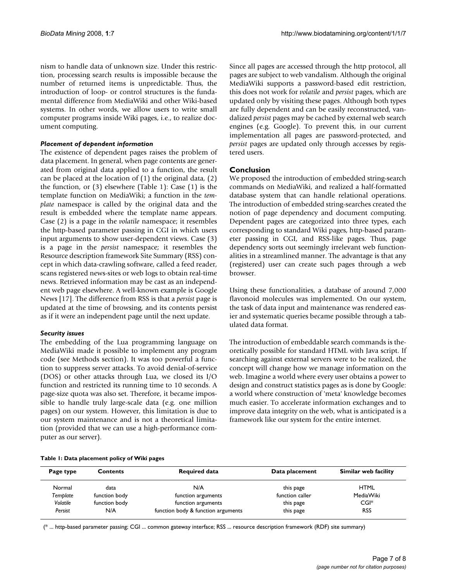nism to handle data of unknown size. Under this restriction, processing search results is impossible because the number of returned items is unpredictable. Thus, the introduction of loop- or control structures is the fundamental difference from MediaWiki and other Wiki-based systems. In other words, we allow users to write small computer programs inside Wiki pages, i.e., to realize document computing.

# *Placement of dependent information*

The existence of dependent pages raises the problem of data placement. In general, when page contents are generated from original data applied to a function, the result can be placed at the location of (1) the original data, (2) the function, or (3) elsewhere (Table 1): Case (1) is the template function on MediaWiki; a function in the *template* namespace is called by the original data and the result is embedded where the template name appears. Case (2) is a page in the *volatile* namespace; it resembles the http-based parameter passing in CGI in which users input arguments to show user-dependent views. Case (3) is a page in the *persist* namespace; it resembles the Resource description framework Site Summary (RSS) concept in which data-crawling software, called a feed reader, scans registered news-sites or web logs to obtain real-time news. Retrieved information may be cast as an independent web page elsewhere. A well-known example is Google News [17]. The difference from RSS is that a *persist* page is updated at the time of browsing, and its contents persist as if it were an independent page until the next update.

# *Security issues*

The embedding of the Lua programming language on MediaWiki made it possible to implement any program code (see Methods section). It was too powerful a function to suppress server attacks. To avoid denial-of-service (DOS) or other attacks through Lua, we closed its I/O function and restricted its running time to 10 seconds. A page-size quota was also set. Therefore, it became impossible to handle truly large-scale data (e.g. one million pages) on our system. However, this limitation is due to our system maintenance and is not a theoretical limitation (provided that we can use a high-performance computer as our server).

Since all pages are accessed through the http protocol, all pages are subject to web vandalism. Although the original MediaWiki supports a password-based edit restriction, this does not work for *volatile* and *persist* pages, which are updated only by visiting these pages. Although both types are fully dependent and can be easily reconstructed, vandalized *persist* pages may be cached by external web search engines (e.g. Google). To prevent this, in our current implementation all pages are password-protected, and *persist* pages are updated only through accesses by registered users.

# **Conclusion**

We proposed the introduction of embedded string-search commands on MediaWiki, and realized a half-formatted database system that can handle relational operations. The introduction of embedded string-searches created the notion of page dependency and document computing. Dependent pages are categorized into three types, each corresponding to standard Wiki pages, http-based parameter passing in CGI, and RSS-like pages. Thus, page dependency sorts out seemingly irrelevant web functionalities in a streamlined manner. The advantage is that any (registered) user can create such pages through a web browser.

Using these functionalities, a database of around 7,000 flavonoid molecules was implemented. On our system, the task of data input and maintenance was rendered easier and systematic queries became possible through a tabulated data format.

The introduction of embeddable search commands is theoretically possible for standard HTML with Java script. If searching against external servers were to be realized, the concept will change how we manage information on the web. Imagine a world where every user obtains a power to design and construct statistics pages as is done by Google: a world where construction of 'meta' knowledge becomes much easier. To accelerate information exchanges and to improve data integrity on the web, what is anticipated is a framework like our system for the entire internet.

#### **Table 1: Data placement policy of Wiki pages**

| Page type | Contents      | <b>Required data</b>               | Data placement  | Similar web facility |
|-----------|---------------|------------------------------------|-----------------|----------------------|
| Normal    | data          | N/A                                | this page       | <b>HTML</b>          |
| Template  | function body | function arguments                 | function caller | MediaWiki            |
| Volatile  | function body | function arguments                 | this page       | $CGI*$               |
| Persist   | N/A           | function body & function arguments | this page       | <b>RSS</b>           |

(\* ... http-based parameter passing; CGI ... common gateway interface; RSS ... resource description framework (RDF) site summary)